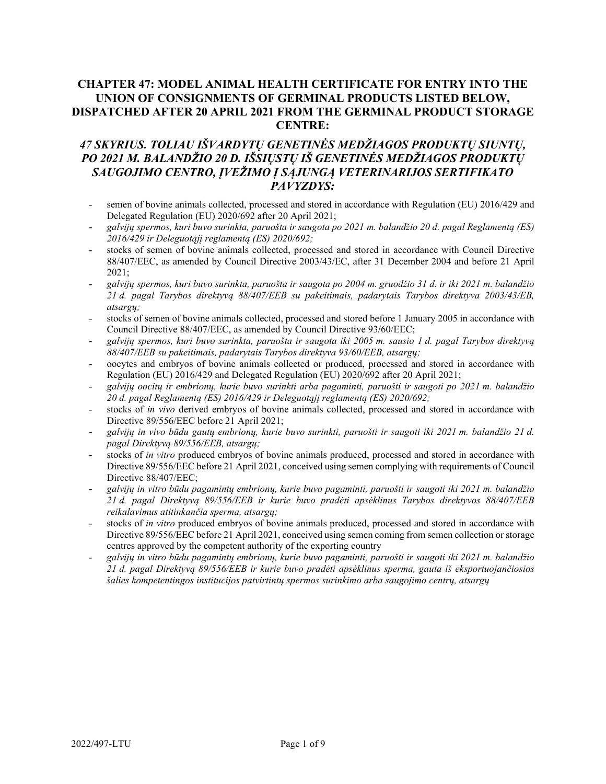# **CHAPTER 47: MODEL ANIMAL HEALTH CERTIFICATE FOR ENTRY INTO THE UNION OF CONSIGNMENTS OF GERMINAL PRODUCTS LISTED BELOW, DISPATCHED AFTER 20 APRIL 2021 FROM THE GERMINAL PRODUCT STORAGE CENTRE:**

# *47 SKYRIUS. TOLIAU IŠVARDYTŲ GENETINĖS MEDŽIAGOS PRODUKTŲ SIUNTŲ, PO 2021 M. BALANDŽIO 20 D. IŠSIŲSTŲ IŠ GENETINĖS MEDŽIAGOS PRODUKTŲ SAUGOJIMO CENTRO, ĮVEŽIMO Į SĄJUNGĄ VETERINARIJOS SERTIFIKATO PAVYZDYS:*

- semen of bovine animals collected, processed and stored in accordance with Regulation (EU) 2016/429 and Delegated Regulation (EU) 2020/692 after 20 April 2021;
- *galvijų spermos, kuri buvo surinkta, paruošta ir saugota po 2021 m. balandžio 20 d. pagal Reglamentą (ES) 2016/429 ir Deleguotąjį reglamentą (ES) 2020/692;*
- stocks of semen of bovine animals collected, processed and stored in accordance with Council Directive 88/407/EEC, as amended by Council Directive 2003/43/EC, after 31 December 2004 and before 21 April 2021;
- *galvijų spermos, kuri buvo surinkta, paruošta ir saugota po 2004 m. gruodžio 31 d. ir iki 2021 m. balandžio 21 d. pagal Tarybos direktyvą 88/407/EEB su pakeitimais, padarytais Tarybos direktyva 2003/43/EB, atsargų;*
- stocks of semen of bovine animals collected, processed and stored before 1 January 2005 in accordance with Council Directive 88/407/EEC, as amended by Council Directive 93/60/EEC;
- *galvijų spermos, kuri buvo surinkta, paruošta ir saugota iki 2005 m. sausio 1 d. pagal Tarybos direktyvą 88/407/EEB su pakeitimais, padarytais Tarybos direktyva 93/60/EEB, atsargų;*
- oocytes and embryos of bovine animals collected or produced, processed and stored in accordance with Regulation (EU) 2016/429 and Delegated Regulation (EU) 2020/692 after 20 April 2021;
- *galvijų oocitų ir embrionų, kurie buvo surinkti arba pagaminti, paruošti ir saugoti po 2021 m. balandžio 20 d. pagal Reglamentą (ES) 2016/429 ir Deleguotąjį reglamentą (ES) 2020/692;*
- stocks of *in vivo* derived embryos of bovine animals collected, processed and stored in accordance with Directive 89/556/EEC before 21 April 2021;
- *galvijų in vivo būdu gautų embrionų, kurie buvo surinkti, paruošti ir saugoti iki 2021 m. balandžio 21 d. pagal Direktyvą 89/556/EEB, atsargų;*
- stocks of *in vitro* produced embryos of bovine animals produced, processed and stored in accordance with Directive 89/556/EEC before 21 April 2021, conceived using semen complying with requirements of Council Directive 88/407/EEC;
- *galvijų in vitro būdu pagamintų embrionų, kurie buvo pagaminti, paruošti ir saugoti iki 2021 m. balandžio 21 d. pagal Direktyvą 89/556/EEB ir kurie buvo pradėti apsėklinus Tarybos direktyvos 88/407/EEB reikalavimus atitinkančia sperma, atsargų;*
- stocks of *in vitro* produced embryos of bovine animals produced, processed and stored in accordance with Directive 89/556/EEC before 21 April 2021, conceived using semen coming from semen collection or storage centres approved by the competent authority of the exporting country
- *galvijų in vitro būdu pagamintų embrionų, kurie buvo pagaminti, paruošti ir saugoti iki 2021 m. balandžio 21 d. pagal Direktyvą 89/556/EEB ir kurie buvo pradėti apsėklinus sperma, gauta iš eksportuojančiosios šalies kompetentingos institucijos patvirtintų spermos surinkimo arba saugojimo centrų, atsargų*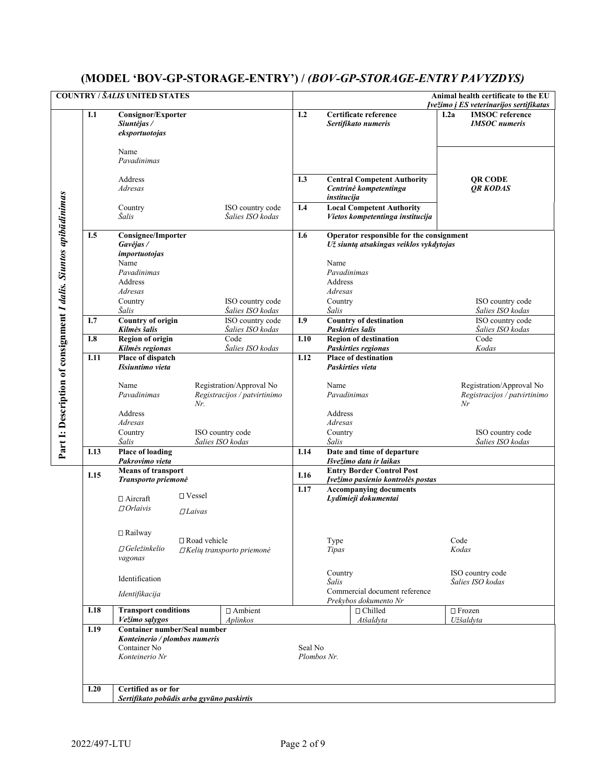# **(MODEL 'BOV-GP-STORAGE-ENTRY') /** *(BOV-GP-STORAGE-ENTRY PAVYZDYS)*

|                                                                  |      | <b>COUNTRY / ŠALIS UNITED STATES</b>                                                            |                                                          |                        |                                                                                     | Animal health certificate to the EU<br>Ivežimo į ES veterinarijos sertifikatas |
|------------------------------------------------------------------|------|-------------------------------------------------------------------------------------------------|----------------------------------------------------------|------------------------|-------------------------------------------------------------------------------------|--------------------------------------------------------------------------------|
|                                                                  | I.1  | <b>Consignor/Exporter</b><br>Siuntėjas /<br>eksportuotojas                                      |                                                          | I.2                    | Certificate reference<br>Sertifikato numeris                                        | <b>IMSOC</b> reference<br>I.2a<br><b>IMSOC</b> numeris                         |
|                                                                  |      | Name<br>Pavadinimas                                                                             |                                                          |                        |                                                                                     |                                                                                |
|                                                                  |      | Address<br>Adresas                                                                              |                                                          | I.3                    | <b>Central Competent Authority</b><br>Centrinė kompetentinga<br>institucija         | <b>QR CODE</b><br>QR KODAS                                                     |
|                                                                  |      | Country<br>Šalis                                                                                | ISO country code<br>Šalies ISO kodas                     | I.4                    | <b>Local Competent Authority</b><br>Vietos kompetentinga institucija                |                                                                                |
|                                                                  | I.5  | <b>Consignee/Importer</b><br>Gavėjas/<br><i>importuotojas</i>                                   |                                                          | I.6                    | Operator responsible for the consignment<br>Už siuntą atsakingas veiklos vykdytojas |                                                                                |
|                                                                  |      | Name<br>Pavadinimas<br>Address                                                                  |                                                          |                        | Name<br>Pavadinimas<br>Address                                                      |                                                                                |
|                                                                  |      | Adresas<br>Country<br>Šalis                                                                     | ISO country code<br>Šalies ISO kodas                     |                        | Adresas<br>Country<br>Šalis                                                         | ISO country code<br>Šalies ISO kodas                                           |
|                                                                  | I.7  | <b>Country of origin</b><br>Kilmės šalis                                                        | ISO country code<br>Šalies ISO kodas                     | I.9                    | <b>Country of destination</b><br>Paskirties šalis                                   | ISO country code<br>Šalies ISO kodas                                           |
|                                                                  | I.8  | Region of origin                                                                                | Code                                                     | I.10                   | <b>Region of destination</b>                                                        | Code                                                                           |
|                                                                  | I.11 | Kilmės regionas<br>Place of dispatch                                                            | Šalies ISO kodas                                         | I.12                   | Paskirties regionas<br><b>Place of destination</b>                                  | Kodas                                                                          |
| Part I: Description of consignment I dalis. Siuntos apibudinimas |      | Išsiuntimo vieta<br>Name<br>Pavadinimas<br>Nr.<br>Address                                       | Registration/Approval No<br>Registracijos / patvirtinimo |                        | Paskirties vieta<br>Name<br>Pavadinimas<br>Address                                  | Registration/Approval No<br>Registracijos / patvirtinimo<br>Nr                 |
|                                                                  |      | Adresas                                                                                         |                                                          |                        | Adresas                                                                             |                                                                                |
|                                                                  |      | Country<br>Šalis                                                                                | ISO country code<br>Šalies ISO kodas                     |                        | Country<br>Šalis                                                                    | ISO country code<br>Šalies ISO kodas                                           |
|                                                                  | I.13 | <b>Place of loading</b><br>Pakrovimo vieta                                                      |                                                          | I.14                   | Date and time of departure<br>Išvežimo data ir laikas                               |                                                                                |
|                                                                  | I.15 | <b>Means of transport</b><br>Transporto priemonė                                                |                                                          | I.16                   | <b>Entry Border Control Post</b><br>Įvežimo pasienio kontrolės postas               |                                                                                |
|                                                                  |      | $\Box$ Vessel<br>$\Box$ Aircraft<br>DOrlavi <sub>S</sub><br><b>DLaivas</b>                      |                                                          | I.17                   | <b>Accompanying documents</b><br>Lydimieji dokumentai                               |                                                                                |
|                                                                  |      | □ Railway<br>□ Road vehicle<br>$\Box$ Geležinkelio<br>vagonas                                   | $\Box$ Kelių transporto priemonė                         |                        | Type<br>Tipas                                                                       | Code<br>Kodas                                                                  |
|                                                                  |      | Identification<br>Identifikacija                                                                |                                                          |                        | Country<br>Šalis<br>Commercial document reference                                   | ISO country code<br>Šalies ISO kodas                                           |
|                                                                  | I.18 | <b>Transport conditions</b><br>Vežimo sąlygos                                                   | □ Ambient<br>Aplinkos                                    |                        | Prekybos dokumento Nr<br>$\sqcap$ Chilled<br>Atšaldyta                              | $\Box$ Frozen<br>Užšaldyta                                                     |
|                                                                  | I.19 | Container number/Seal number<br>Konteinerio / plombos numeris<br>Container No<br>Konteinerio Nr |                                                          | Seal No<br>Plombos Nr. |                                                                                     |                                                                                |
|                                                                  | I.20 | Certified as or for<br>Sertifikato pobūdis arba gyvūno paskirtis                                |                                                          |                        |                                                                                     |                                                                                |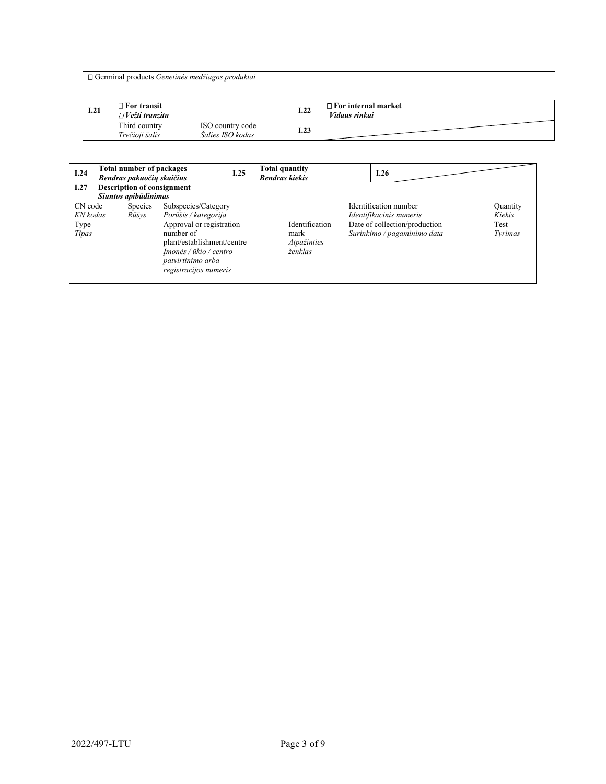|      | $\Box$ Germinal products <i>Genetines medžiagos produktai</i> |                                      |      |                                             |
|------|---------------------------------------------------------------|--------------------------------------|------|---------------------------------------------|
| I.21 | $\Box$ For transit<br>$\Box V$ ežti tranzitu                  |                                      | I.22 | $\Box$ For internal market<br>Vidaus rinkai |
|      | Third country<br>Trečioji šalis                               | ISO country code<br>Šalies ISO kodas | I.23 |                                             |

| I.24                                 | <b>Total number of packages</b><br>Bendras pakuočių skaičius |                                                                                                                                                                                            | I.25 | <b>Total quantity</b><br><b>Bendras kiekis</b>   | I.26                                                                                                             |                                       |
|--------------------------------------|--------------------------------------------------------------|--------------------------------------------------------------------------------------------------------------------------------------------------------------------------------------------|------|--------------------------------------------------|------------------------------------------------------------------------------------------------------------------|---------------------------------------|
| I.27                                 | <b>Description of consignment</b><br>Siuntos apibūdinimas    |                                                                                                                                                                                            |      |                                                  |                                                                                                                  |                                       |
| CN code<br>KN kodas<br>Type<br>Tipas | Species<br>Rūšys                                             | Subspecies/Category<br>Porūšis / kategorija<br>Approval or registration<br>number of<br>plant/establishment/centre<br>Imonės / ūkio / centro<br>patvirtinimo arba<br>registracijos numeris |      | Identification<br>mark<br>Atpažinties<br>ženklas | Identification number<br>Identifikacinis numeris<br>Date of collection/production<br>Surinkimo / pagaminimo data | Quantity<br>Kiekis<br>Test<br>Tyrimas |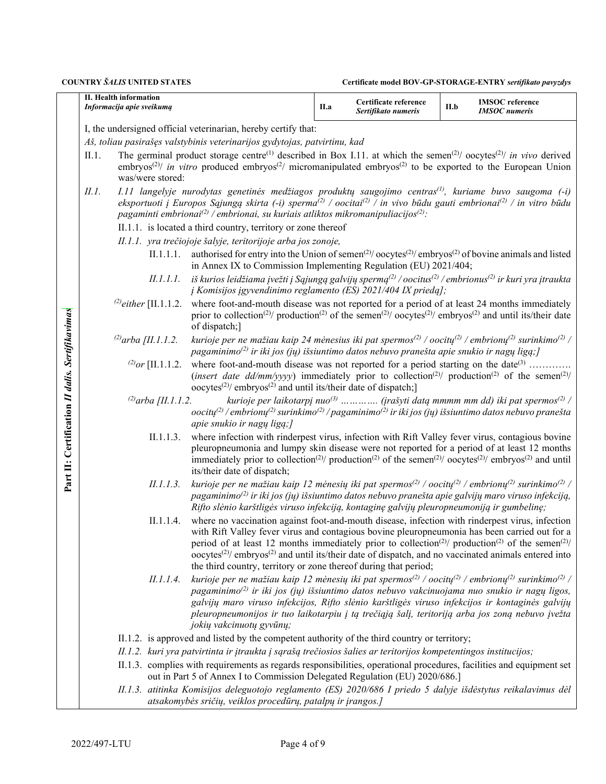|                                                 |       | II. Health information<br>Informacija apie sveikumą |                                                                                                                                                                                                                                                                                                                                                                                                                                                                                                                                                                       | II.a | Certificate reference<br>Sertifikato numeris | II.b | <b>IMSOC</b> reference<br><b>IMSOC</b> numeris                                                 |
|-------------------------------------------------|-------|-----------------------------------------------------|-----------------------------------------------------------------------------------------------------------------------------------------------------------------------------------------------------------------------------------------------------------------------------------------------------------------------------------------------------------------------------------------------------------------------------------------------------------------------------------------------------------------------------------------------------------------------|------|----------------------------------------------|------|------------------------------------------------------------------------------------------------|
|                                                 |       |                                                     | I, the undersigned official veterinarian, hereby certify that:                                                                                                                                                                                                                                                                                                                                                                                                                                                                                                        |      |                                              |      |                                                                                                |
|                                                 | II.1. | was/were stored:                                    | Aš, toliau pasirašęs valstybinis veterinarijos gydytojas, patvirtinu, kad<br>The germinal product storage centre <sup>(1)</sup> described in Box I.11. at which the semen <sup>(2)</sup> / oocytes <sup>(2)</sup> / in vivo derived<br>embryos <sup>(2)</sup> / in vitro produced embryos <sup>(2)</sup> micromanipulated embryos <sup>(2)</sup> to be exported to the European Union                                                                                                                                                                                 |      |                                              |      |                                                                                                |
|                                                 | H. I. |                                                     | I.11 langelyje nurodytas genetinės medžiagos produktų saugojimo centras <sup>(1)</sup> , kuriame buvo saugoma (-i)<br>eksportuoti į Europos Sąjungą skirta (-i) sperma <sup>(2)</sup> / oocitai <sup>(2)</sup> / in vivo būdu gauti embrionai <sup>(2)</sup> / in vitro būdu<br>pagaminti embrionai $^{(2)}$ / embrionai, su kuriais atliktos mikromanipuliacijos $^{(2)}$ :                                                                                                                                                                                          |      |                                              |      |                                                                                                |
|                                                 |       |                                                     | II.1.1. is located a third country, territory or zone thereof<br>II.1.1. yra trečiojoje šalyje, teritorijoje arba jos zonoje,                                                                                                                                                                                                                                                                                                                                                                                                                                         |      |                                              |      |                                                                                                |
|                                                 |       | II.1.1.1.                                           | authorised for entry into the Union of semen <sup>(2)</sup> / $\text{ocytes}^{(2)}$ / $\text{embryos}^{(2)}$ of bovine animals and listed<br>in Annex IX to Commission Implementing Regulation (EU) 2021/404;                                                                                                                                                                                                                                                                                                                                                         |      |                                              |      |                                                                                                |
|                                                 |       | II.1.1.1.                                           | iš kurios leidžiama įvežti į Sąjungą galvijų spermą <sup><math>(2)</math></sup> /oocitus <sup>(2)</sup> /embrionus <sup>(2)</sup> ir kuri yra įtraukta<br>į Komisijos įgyvendinimo reglamento (ES) 2021/404 IX priedą];                                                                                                                                                                                                                                                                                                                                               |      |                                              |      |                                                                                                |
|                                                 |       | <sup>(2)</sup> either [II.1.1.2.                    | where foot-and-mouth disease was not reported for a period of at least 24 months immediately<br>prior to collection <sup>(2)</sup> / production <sup>(2)</sup> of the semen <sup>(2)</sup> / oocytes <sup>(2)</sup> / embryos <sup>(2)</sup> and until its/their date<br>of dispatch;]                                                                                                                                                                                                                                                                                |      |                                              |      |                                                                                                |
|                                                 |       | <sup>(2)</sup> arba [II.1.1.2.                      | kurioje per ne mažiau kaip 24 mėnesius iki pat spermos <sup>(2)</sup> / oocity <sup>(2)</sup> / embriony <sup>(2)</sup> surinkimo <sup>(2)</sup> /<br>pagaminimo <sup>(2)</sup> ir iki jos (jų) išsiuntimo datos nebuvo pranešta apie snukio ir nagų ligą; [                                                                                                                                                                                                                                                                                                          |      |                                              |      |                                                                                                |
|                                                 |       | <sup>(2)</sup> or [II.1.1.2.                        | where foot-and-mouth disease was not reported for a period starting on the date <sup>(3)</sup><br>(insert date dd/mm/yyyy) immediately prior to collection <sup>(2)</sup> / production <sup>(2)</sup> of the semen <sup>(2)</sup> /<br>oocytes <sup>(2)</sup> / embryos <sup>(2)</sup> and until its/their date of dispatch;]                                                                                                                                                                                                                                         |      |                                              |      |                                                                                                |
|                                                 |       | (2) arba [II.1.1.2.                                 | oocity <sup>(2)</sup> /embriony <sup>(2)</sup> surinkimo <sup>(2)</sup> /pagaminimo <sup>(2)</sup> ir iki jos (jų) išsiuntimo datos nebuvo pranešta<br>apie snukio ir nagų ligą; ]                                                                                                                                                                                                                                                                                                                                                                                    |      |                                              |      | kurioje per laikotarpį nuo $^{(3)}$ (įrašyti datą mmmm mm dd) iki pat spermos <sup>(2)</sup> / |
| Part II: Certification II dalis. Sertifikavimas |       | II.1.1.3.                                           | where infection with rinderpest virus, infection with Rift Valley fever virus, contagious bovine<br>pleuropneumonia and lumpy skin disease were not reported for a period of at least 12 months<br>immediately prior to collection <sup>(2)</sup> / production <sup>(2)</sup> of the semen <sup>(2)</sup> / oocytes <sup>(2)</sup> / embryos <sup>(2)</sup> and until<br>its/their date of dispatch;                                                                                                                                                                  |      |                                              |      |                                                                                                |
|                                                 |       | II.1.1.3.                                           | kurioje per ne mažiau kaip 12 mėnesių iki pat spermos <sup>(2)</sup> / oocity <sup>(2)</sup> / embriony <sup>(2)</sup> surinkimo <sup>(2)</sup> /<br>pagaminimo <sup>(2)</sup> ir iki jos (jų) išsiuntimo datos nebuvo pranešta apie galvijų maro viruso infekciją,<br>Rifto slėnio karštligės viruso infekciją, kontaginę galvijų pleuropneumoniją ir gumbelinę;                                                                                                                                                                                                     |      |                                              |      |                                                                                                |
|                                                 |       | II.1.1.4.                                           | where no vaccination against foot-and-mouth disease, infection with rinderpest virus, infection<br>with Rift Valley fever virus and contagious bovine pleuropneumonia has been carried out for a<br>period of at least 12 months immediately prior to collection <sup>(2)</sup> / production <sup>(2)</sup> of the semen <sup>(2)</sup> /<br>oocytes <sup><math>(2)</math></sup> embryos <sup><math>(2)</math></sup> and until its/their date of dispatch, and no vaccinated animals entered into<br>the third country, territory or zone thereof during that period; |      |                                              |      |                                                                                                |
|                                                 |       | <i>II.1.1.4.</i>                                    | kurioje per ne mažiau kaip 12 mėnesių iki pat spermos <sup>(2)</sup> / oocitų <sup>(2)</sup> / embrionų <sup>(2)</sup> surinkimo <sup>(2)</sup> /<br>pagaminimo <sup>(2)</sup> ir iki jos (jų) išsiuntimo datos nebuvo vakcinuojama nuo snukio ir nagų ligos,<br>galvijų maro viruso infekcijos, Rifto slėnio karštligės viruso infekcijos ir kontaginės galvijų<br>pleuropneumonijos ir tuo laikotarpiu į tą trečiąją šalį, teritoriją arba jos zoną nebuvo įvežta<br>jokių vakcinuotų gyvūnų;                                                                       |      |                                              |      |                                                                                                |
|                                                 |       |                                                     | II.1.2. is approved and listed by the competent authority of the third country or territory;                                                                                                                                                                                                                                                                                                                                                                                                                                                                          |      |                                              |      |                                                                                                |
|                                                 |       |                                                     | II.1.2. kuri yra patvirtinta ir įtraukta į sąrašą trečiosios šalies ar teritorijos kompetentingos institucijos;                                                                                                                                                                                                                                                                                                                                                                                                                                                       |      |                                              |      |                                                                                                |
|                                                 |       |                                                     | II.1.3. complies with requirements as regards responsibilities, operational procedures, facilities and equipment set<br>out in Part 5 of Annex I to Commission Delegated Regulation (EU) 2020/686.]                                                                                                                                                                                                                                                                                                                                                                   |      |                                              |      |                                                                                                |
|                                                 |       |                                                     | II.1.3. atitinka Komisijos deleguotojo reglamento (ES) 2020/686 I priedo 5 dalyje išdėstytus reikalavimus dėl<br>atsakomybės sričių, veiklos procedūrų, patalpų ir įrangos.]                                                                                                                                                                                                                                                                                                                                                                                          |      |                                              |      |                                                                                                |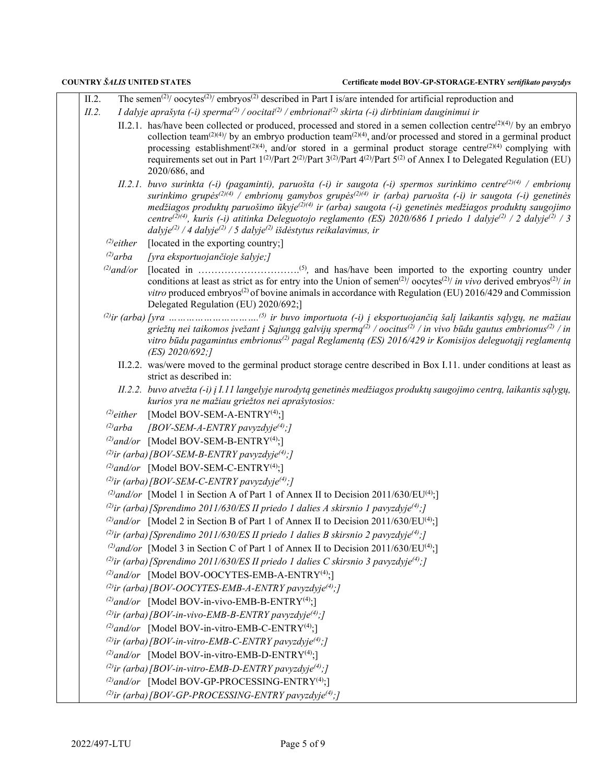| II.2.           | The semen <sup>(2)</sup> / oocytes <sup>(2)</sup> / embryos <sup>(2)</sup> described in Part I is/are intended for artificial reproduction and                                                                                                                                                                                                                                                                                                                                                                                                                                                                                                 |
|-----------------|------------------------------------------------------------------------------------------------------------------------------------------------------------------------------------------------------------------------------------------------------------------------------------------------------------------------------------------------------------------------------------------------------------------------------------------------------------------------------------------------------------------------------------------------------------------------------------------------------------------------------------------------|
| II.2.           | I dalyje aprašyta (-i) sperma <sup>(2)</sup> / oocitai <sup>(2)</sup> / embrionai <sup>(2)</sup> skirta (-i) dirbtiniam dauginimui ir                                                                                                                                                                                                                                                                                                                                                                                                                                                                                                          |
|                 | II.2.1. has/have been collected or produced, processed and stored in a semen collection centre <sup>(2)(4)</sup> / by an embryo<br>collection team <sup>(2)(4)</sup> / by an embryo production team <sup>(2)(4)</sup> , and/or processed and stored in a germinal product<br>processing establishment <sup>(2)(4)</sup> , and/or stored in a germinal product storage centre <sup>(2)(4)</sup> complying with<br>requirements set out in Part $1^{(2)}/$ Part $2^{(2)}/$ Part $3^{(2)}/$ Part $4^{(2)}/$ Part $5^{(2)}$ of Annex I to Delegated Regulation (EU)<br>2020/686, and                                                               |
|                 | II.2.1. buvo surinkta (-i) (pagaminti), paruošta (-i) ir saugota (-i) spermos surinkimo centre <sup>(2)(4)</sup> / embrionų<br>surinkimo grupės <sup>(2)(4)</sup> / embrionų gamybos grupės <sup>(2)(4)</sup> ir (arba) paruošta (-i) ir saugota (-i) genetinės<br>medžiagos produktų paruošimo ūkyje $^{(2)(4)}$ ir (arba) saugota (-i) genetinės medžiagos produktų saugojimo<br>centre <sup>(2)(4)</sup> , kuris (-i) atitinka Deleguotojo reglamento (ES) 2020/686 I priedo 1 dalyje <sup>(2)</sup> / 2 dalyje <sup>(2)</sup> / 3<br>dalyje <sup>(2)</sup> / 4 dalyje <sup>(2)</sup> / 5 dalyje <sup>(2)</sup> išdėstytus reikalavimus, ir |
| $^{(2)}$ either | [located in the exporting country;]                                                                                                                                                                                                                                                                                                                                                                                                                                                                                                                                                                                                            |
| $^{(2)}$ arba   | [yra eksportuojančioje šalyje;]                                                                                                                                                                                                                                                                                                                                                                                                                                                                                                                                                                                                                |
| $^{(2)}$ and/or | conditions at least as strict as for entry into the Union of semen <sup>(2)</sup> / oocytes <sup>(2)</sup> / in vivo derived embryos <sup>(2)</sup> / in<br><i>vitro</i> produced embryos <sup>(2)</sup> of bovine animals in accordance with Regulation (EU) 2016/429 and Commission<br>Delegated Regulation (EU) 2020/692;]                                                                                                                                                                                                                                                                                                                  |
|                 | griežtų nei taikomos įvežant į Sąjungą galvijų spermą <sup>(2)</sup> / oocitus <sup>(2)</sup> / in vivo būdu gautus embrionus <sup>(2)</sup> / in<br>vitro būdu pagamintus embrionus <sup>(2)</sup> pagal Reglamentą (ES) 2016/429 ir Komisijos deleguotąjį reglamentą<br>$(ES)$ 2020/692;]                                                                                                                                                                                                                                                                                                                                                    |
|                 | II.2.2. was/were moved to the germinal product storage centre described in Box I.11. under conditions at least as<br>strict as described in:                                                                                                                                                                                                                                                                                                                                                                                                                                                                                                   |
|                 | II.2.2. buvo atvežta (-i) į I.11 langelyje nurodytą genetinės medžiagos produktų saugojimo centrą, laikantis sąlygų,<br>kurios yra ne mažiau griežtos nei aprašytosios:                                                                                                                                                                                                                                                                                                                                                                                                                                                                        |
| $^{(2)}$ either | [Model BOV-SEM-A-ENTRY <sup>(4)</sup> ;]                                                                                                                                                                                                                                                                                                                                                                                                                                                                                                                                                                                                       |
| $^{(2)}$ arba   | [BOV-SEM-A-ENTRY pavyzdyje <sup>(4)</sup> ;]                                                                                                                                                                                                                                                                                                                                                                                                                                                                                                                                                                                                   |
|                 | <sup>(2)</sup> and/or [Model BOV-SEM-B-ENTRY <sup>(4)</sup> ;]                                                                                                                                                                                                                                                                                                                                                                                                                                                                                                                                                                                 |
|                 | <sup>(2)</sup> ir (arba) [BOV-SEM-B-ENTRY pavyzdyje <sup>(4)</sup> ;]                                                                                                                                                                                                                                                                                                                                                                                                                                                                                                                                                                          |
|                 | <sup>(2)</sup> and/or [Model BOV-SEM-C-ENTRY <sup>(4)</sup> ;]                                                                                                                                                                                                                                                                                                                                                                                                                                                                                                                                                                                 |
|                 | <sup>(2)</sup> ir (arba) [BOV-SEM-C-ENTRY pavyzdyje <sup>(4)</sup> ;]                                                                                                                                                                                                                                                                                                                                                                                                                                                                                                                                                                          |
|                 | <sup>(2)</sup> and/or [Model 1 in Section A of Part 1 of Annex II to Decision 2011/630/EU <sup>(4)</sup> ;]                                                                                                                                                                                                                                                                                                                                                                                                                                                                                                                                    |
|                 | <sup>(2)</sup> ir (arba) [Sprendimo 2011/630/ES II priedo 1 dalies A skirsnio 1 pavyzdyje <sup>(4)</sup> ;]                                                                                                                                                                                                                                                                                                                                                                                                                                                                                                                                    |
|                 | <sup>(2)</sup> and/or [Model 2 in Section B of Part 1 of Annex II to Decision 2011/630/EU <sup>(4)</sup> ;                                                                                                                                                                                                                                                                                                                                                                                                                                                                                                                                     |
|                 | <sup>(2)</sup> ir (arba) [Sprendimo 2011/630/ES II priedo 1 dalies B skirsnio 2 pavyzdyje <sup>(4)</sup> ;]                                                                                                                                                                                                                                                                                                                                                                                                                                                                                                                                    |
|                 | <sup>(2)</sup> and/or [Model 3 in Section C of Part 1 of Annex II to Decision 2011/630/EU <sup>(4)</sup> ;                                                                                                                                                                                                                                                                                                                                                                                                                                                                                                                                     |
|                 | <sup>(2)</sup> ir (arba) [Sprendimo 2011/630/ES II priedo 1 dalies C skirsnio 3 pavyzdyje <sup>(4)</sup> ;]                                                                                                                                                                                                                                                                                                                                                                                                                                                                                                                                    |
|                 | <sup>(2)</sup> and/or [Model BOV-OOCYTES-EMB-A-ENTRY <sup>(4)</sup> ;]                                                                                                                                                                                                                                                                                                                                                                                                                                                                                                                                                                         |
|                 | <sup>(2)</sup> ir (arba) [BOV-OOCYTES-EMB-A-ENTRY pavyzdyje <sup>(4)</sup> ;]                                                                                                                                                                                                                                                                                                                                                                                                                                                                                                                                                                  |
|                 | <sup>(2)</sup> and/or [Model BOV-in-vivo-EMB-B-ENTRY <sup>(4)</sup> ;]<br><sup>(2)</sup> ir (arba) [BOV-in-vivo-EMB-B-ENTRY pavyzdyje <sup>(4)</sup> ;]                                                                                                                                                                                                                                                                                                                                                                                                                                                                                        |
|                 | <sup>(2)</sup> and/or [Model BOV-in-vitro-EMB-C-ENTRY <sup>(4)</sup> ;]                                                                                                                                                                                                                                                                                                                                                                                                                                                                                                                                                                        |
|                 | <sup>(2)</sup> ir (arba) [BOV-in-vitro-EMB-C-ENTRY pavyzdyje <sup>(4)</sup> ;]                                                                                                                                                                                                                                                                                                                                                                                                                                                                                                                                                                 |
|                 | <sup>(2)</sup> and/or [Model BOV-in-vitro-EMB-D-ENTRY <sup>(4)</sup> ;]                                                                                                                                                                                                                                                                                                                                                                                                                                                                                                                                                                        |
|                 | <sup>(2)</sup> ir (arba) [BOV-in-vitro-EMB-D-ENTRY pavyzdyje <sup>(4)</sup> ;]                                                                                                                                                                                                                                                                                                                                                                                                                                                                                                                                                                 |
|                 | <sup>(2)</sup> and/or [Model BOV-GP-PROCESSING-ENTRY <sup>(4)</sup> ;]                                                                                                                                                                                                                                                                                                                                                                                                                                                                                                                                                                         |
|                 | <sup>(2)</sup> ir (arba) [BOV-GP-PROCESSING-ENTRY pavyzdyje <sup>(4)</sup> ;]                                                                                                                                                                                                                                                                                                                                                                                                                                                                                                                                                                  |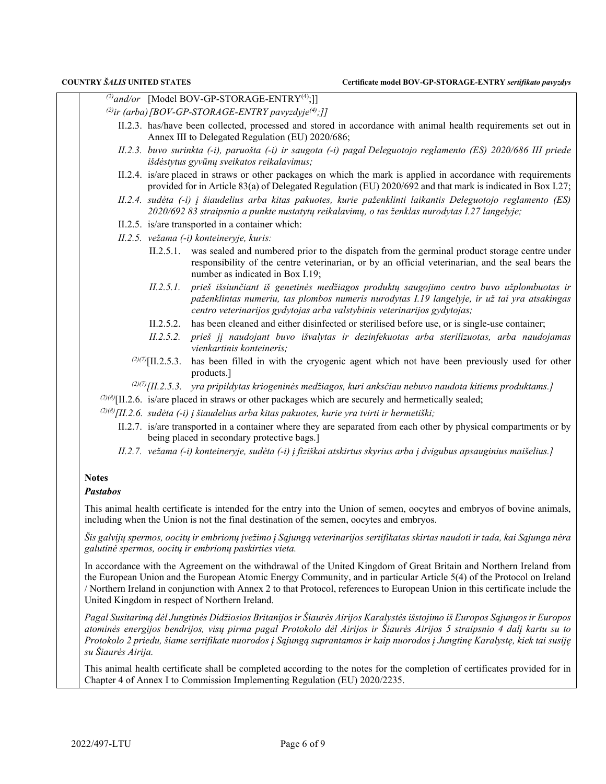*(2)and/or* [Model BOV-GP-STORAGE-ENTRY(4);]]

- <sup>(2)</sup>ir (arba)[BOV-GP-STORAGE-ENTRY pavyzdyje<sup>(4)</sup>;]]
	- II.2.3. has/have been collected, processed and stored in accordance with animal health requirements set out in Annex III to Delegated Regulation (EU) 2020/686;
	- *II.2.3. buvo surinkta (-i), paruošta (-i) ir saugota (-i) pagal Deleguotojo reglamento (ES) 2020/686 III priede išdėstytus gyvūnų sveikatos reikalavimus;*
	- II.2.4. is/are placed in straws or other packages on which the mark is applied in accordance with requirements provided for in Article 83(a) of Delegated Regulation (EU) 2020/692 and that mark is indicated in Box I.27;
	- *II.2.4. sudėta (-i) į šiaudelius arba kitas pakuotes, kurie paženklinti laikantis Deleguotojo reglamento (ES) 2020/692 83 straipsnio a punkte nustatytų reikalavimų, o tas ženklas nurodytas I.27 langelyje;*
	- II.2.5. is/are transported in a container which:
	- *II.2.5. vežama (-i) konteineryje, kuris:*
		- II.2.5.1. was sealed and numbered prior to the dispatch from the germinal product storage centre under responsibility of the centre veterinarian, or by an official veterinarian, and the seal bears the number as indicated in Box I.19;
		- *II.2.5.1. prieš išsiunčiant iš genetinės medžiagos produktų saugojimo centro buvo užplombuotas ir paženklintas numeriu, tas plombos numeris nurodytas I.19 langelyje, ir už tai yra atsakingas centro veterinarijos gydytojas arba valstybinis veterinarijos gydytojas;*
		- II.2.5.2. has been cleaned and either disinfected or sterilised before use, or is single-use container;
		- *II.2.5.2. prieš jį naudojant buvo išvalytas ir dezinfekuotas arba sterilizuotas, arba naudojamas vienkartinis konteineris;*
		- $(2)$ (7)<sup>[II.2.5.3.] has been filled in with the cryogenic agent which not have been previously used for other</sup> products.]
		- *(2)(7)[II.2.5.3. yra pripildytas kriogeninės medžiagos, kuri anksčiau nebuvo naudota kitiems produktams.]*
- *(2)(8)*[II.2.6. is/are placed in straws or other packages which are securely and hermetically sealed;

*(2)(8)[II.2.6. sudėta (-i) į šiaudelius arba kitas pakuotes, kurie yra tvirti ir hermetiški;*

- II.2.7. is/are transported in a container where they are separated from each other by physical compartments or by being placed in secondary protective bags.]
- *II.2.7. vežama (-i) konteineryje, sudėta (-i) į fiziškai atskirtus skyrius arba į dvigubus apsauginius maišelius.]*

### **Notes**

### *Pastabos*

This animal health certificate is intended for the entry into the Union of semen, oocytes and embryos of bovine animals, including when the Union is not the final destination of the semen, oocytes and embryos.

*Šis galvijų spermos, oocitų ir embrionų įvežimo į Sąjungą veterinarijos sertifikatas skirtas naudoti ir tada, kai Sąjunga nėra galutinė spermos, oocitų ir embrionų paskirties vieta.*

In accordance with the Agreement on the withdrawal of the United Kingdom of Great Britain and Northern Ireland from the European Union and the European Atomic Energy Community, and in particular Article 5(4) of the Protocol on Ireland / Northern Ireland in conjunction with Annex 2 to that Protocol, references to European Union in this certificate include the United Kingdom in respect of Northern Ireland.

*Pagal Susitarimą dėl Jungtinės Didžiosios Britanijos ir Šiaurės Airijos Karalystės išstojimo iš Europos Sąjungos ir Europos atominės energijos bendrijos, visų pirma pagal Protokolo dėl Airijos ir Šiaurės Airijos 5 straipsnio 4 dalį kartu su to Protokolo 2 priedu, šiame sertifikate nuorodos į Sąjungą suprantamos ir kaip nuorodos į Jungtinę Karalystę, kiek tai susiję su Šiaurės Airija.*

This animal health certificate shall be completed according to the notes for the completion of certificates provided for in Chapter 4 of Annex I to Commission Implementing Regulation (EU) 2020/2235.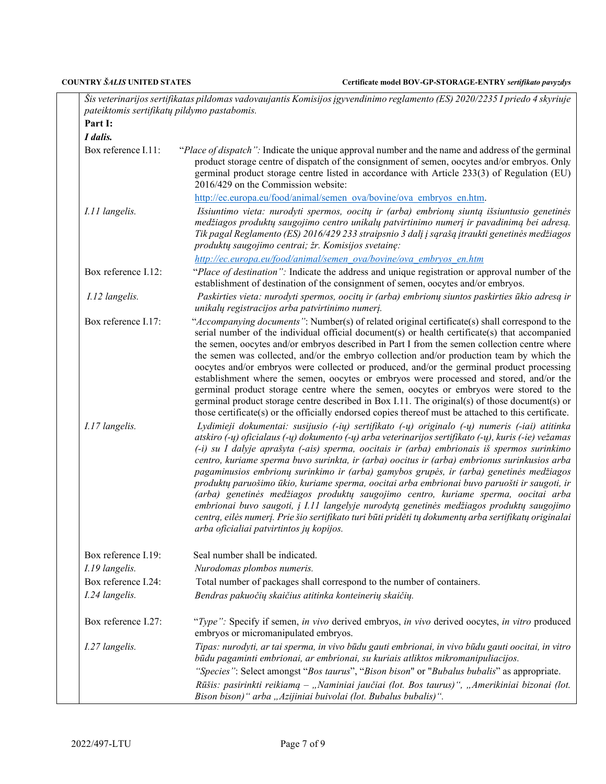|                                       | Šis veterinarijos sertifikatas pildomas vadovaujantis Komisijos įgyvendinimo reglamento (ES) 2020/2235 I priedo 4 skyriuje                                                                                                                                                                                                                                                                                                                                                                                                                                                                                                                                                                                                                                                                                                                                                                                                                                                                                                                                                                                                                                                                                                                                                                                                                                                                                                                                                                                                                                                                    |
|---------------------------------------|-----------------------------------------------------------------------------------------------------------------------------------------------------------------------------------------------------------------------------------------------------------------------------------------------------------------------------------------------------------------------------------------------------------------------------------------------------------------------------------------------------------------------------------------------------------------------------------------------------------------------------------------------------------------------------------------------------------------------------------------------------------------------------------------------------------------------------------------------------------------------------------------------------------------------------------------------------------------------------------------------------------------------------------------------------------------------------------------------------------------------------------------------------------------------------------------------------------------------------------------------------------------------------------------------------------------------------------------------------------------------------------------------------------------------------------------------------------------------------------------------------------------------------------------------------------------------------------------------|
| Part I:                               | pateiktomis sertifikatų pildymo pastabomis.                                                                                                                                                                                                                                                                                                                                                                                                                                                                                                                                                                                                                                                                                                                                                                                                                                                                                                                                                                                                                                                                                                                                                                                                                                                                                                                                                                                                                                                                                                                                                   |
|                                       |                                                                                                                                                                                                                                                                                                                                                                                                                                                                                                                                                                                                                                                                                                                                                                                                                                                                                                                                                                                                                                                                                                                                                                                                                                                                                                                                                                                                                                                                                                                                                                                               |
| I dalis.<br>Box reference I.11:       | "Place of dispatch": Indicate the unique approval number and the name and address of the germinal<br>product storage centre of dispatch of the consignment of semen, oocytes and/or embryos. Only<br>germinal product storage centre listed in accordance with Article 233(3) of Regulation (EU)<br>2016/429 on the Commission website:<br>http://ec.europa.eu/food/animal/semen ova/bovine/ova embryos en.htm.                                                                                                                                                                                                                                                                                                                                                                                                                                                                                                                                                                                                                                                                                                                                                                                                                                                                                                                                                                                                                                                                                                                                                                               |
| I.11 langelis.                        | Išsiuntimo vieta: nurodyti spermos, oocitų ir (arba) embrionų siuntą išsiuntusio genetinės<br>medžiagos produktų saugojimo centro unikalų patvirtinimo numerį ir pavadinimą bei adresą.<br>Tik pagal Reglamento (ES) 2016/429 233 straipsnio 3 dalį į sąrašą įtraukti genetinės medžiagos<br>produktų saugojimo centrai; žr. Komisijos svetainę:<br>http://ec.europa.eu/food/animal/semen_ova/bovine/ova_embryos_en.htm                                                                                                                                                                                                                                                                                                                                                                                                                                                                                                                                                                                                                                                                                                                                                                                                                                                                                                                                                                                                                                                                                                                                                                       |
| Box reference I.12:                   | "Place of destination": Indicate the address and unique registration or approval number of the<br>establishment of destination of the consignment of semen, oocytes and/or embryos.                                                                                                                                                                                                                                                                                                                                                                                                                                                                                                                                                                                                                                                                                                                                                                                                                                                                                                                                                                                                                                                                                                                                                                                                                                                                                                                                                                                                           |
| I.12 langelis.                        | Paskirties vieta: nurodyti spermos, oocitų ir (arba) embrionų siuntos paskirties ūkio adresą ir<br>unikalų registracijos arba patvirtinimo numerį.                                                                                                                                                                                                                                                                                                                                                                                                                                                                                                                                                                                                                                                                                                                                                                                                                                                                                                                                                                                                                                                                                                                                                                                                                                                                                                                                                                                                                                            |
| Box reference I.17:<br>I.17 langelis. | "Accompanying documents": Number(s) of related original certificate(s) shall correspond to the<br>serial number of the individual official document(s) or health certificate(s) that accompanied<br>the semen, oocytes and/or embryos described in Part I from the semen collection centre where<br>the semen was collected, and/or the embryo collection and/or production team by which the<br>oocytes and/or embryos were collected or produced, and/or the germinal product processing<br>establishment where the semen, oocytes or embryos were processed and stored, and/or the<br>germinal product storage centre where the semen, oocytes or embryos were stored to the<br>germinal product storage centre described in Box I.11. The original(s) of those document(s) or<br>those certificate(s) or the officially endorsed copies thereof must be attached to this certificate.<br>Lydimieji dokumentai: susijusio (-ių) sertifikato (-ų) originalo (-ų) numeris (-iai) atitinka<br>atskiro $(-y)$ oficialaus $(-y)$ dokumento $(-y)$ arba veterinarijos sertifikato $(-y)$ , kuris $(-ie)$ vežamas<br>(-i) su I dalyje aprašyta (-ais) sperma, oocitais ir (arba) embrionais iš spermos surinkimo<br>centro, kuriame sperma buvo surinkta, ir (arba) oocitus ir (arba) embrionus surinkusios arba<br>pagaminusios embrionų surinkimo ir (arba) gamybos grupės, ir (arba) genetinės medžiagos<br>produktų paruošimo ūkio, kuriame sperma, oocitai arba embrionai buvo paruošti ir saugoti, ir<br>(arba) genetinės medžiagos produktų saugojimo centro, kuriame sperma, oocitai arba |
| Box reference I.19:<br>I.19 langelis. | embrionai buvo saugoti, į I.11 langelyje nurodytą genetinės medžiagos produktų saugojimo<br>centrą, eilės numerį. Prie šio sertifikato turi būti pridėti tų dokumentų arba sertifikatų originalai<br>arba oficialiai patvirtintos jų kopijos.<br>Seal number shall be indicated.<br>Nurodomas plombos numeris.                                                                                                                                                                                                                                                                                                                                                                                                                                                                                                                                                                                                                                                                                                                                                                                                                                                                                                                                                                                                                                                                                                                                                                                                                                                                                |
| Box reference I.24:<br>I.24 langelis. | Total number of packages shall correspond to the number of containers.<br>Bendras pakuočių skaičius atitinka konteinerių skaičių.                                                                                                                                                                                                                                                                                                                                                                                                                                                                                                                                                                                                                                                                                                                                                                                                                                                                                                                                                                                                                                                                                                                                                                                                                                                                                                                                                                                                                                                             |
| Box reference I.27:                   | "Type": Specify if semen, in vivo derived embryos, in vivo derived oocytes, in vitro produced<br>embryos or micromanipulated embryos.                                                                                                                                                                                                                                                                                                                                                                                                                                                                                                                                                                                                                                                                                                                                                                                                                                                                                                                                                                                                                                                                                                                                                                                                                                                                                                                                                                                                                                                         |
| I.27 langelis.                        | Tipas: nurodyti, ar tai sperma, in vivo būdu gauti embrionai, in vivo būdu gauti oocitai, in vitro<br>būdu pagaminti embrionai, ar embrionai, su kuriais atliktos mikromanipuliacijos.<br>"Species": Select amongst "Bos taurus", "Bison bison" or "Bubalus bubalis" as appropriate.<br>Rūšis: pasirinkti reikiamą – "Naminiai jaučiai (lot. Bos taurus)", "Amerikiniai bizonai (lot.<br>Bison bison)" arba "Azijiniai buivolai (lot. Bubalus bubalis)".                                                                                                                                                                                                                                                                                                                                                                                                                                                                                                                                                                                                                                                                                                                                                                                                                                                                                                                                                                                                                                                                                                                                      |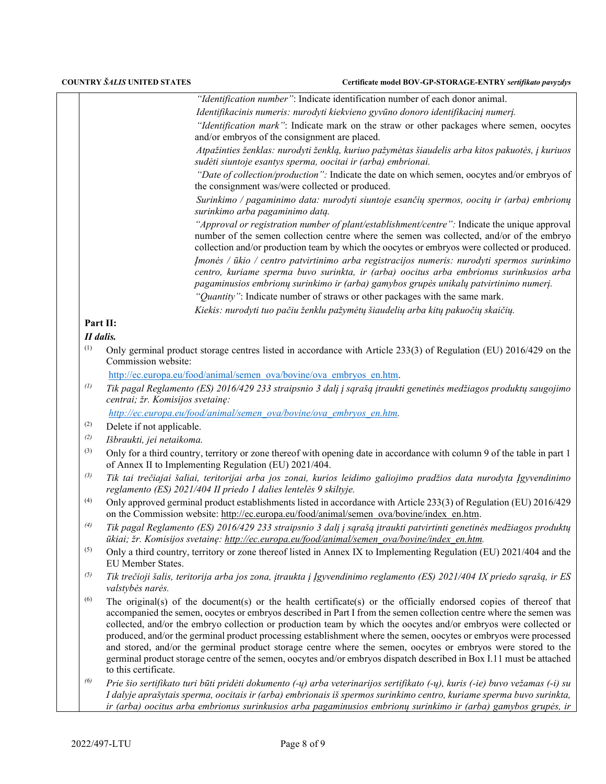|--|

*Identifikacinis numeris: nurodyti kiekvieno gyvūno donoro identifikacinį numerį.*

*"Identification mark"*: Indicate mark on the straw or other packages where semen, oocytes and/or embryos of the consignment are placed.

*Atpažinties ženklas: nurodyti ženklą, kuriuo pažymėtas šiaudelis arba kitos pakuotės, į kuriuos sudėti siuntoje esantys sperma, oocitai ir (arba) embrionai.* 

*"Date of collection/production":* Indicate the date on which semen, oocytes and/or embryos of the consignment was/were collected or produced.

*Surinkimo / pagaminimo data: nurodyti siuntoje esančių spermos, oocitų ir (arba) embrionų surinkimo arba pagaminimo datą.* 

*"Approval or registration number of plant/establishment/centre":* Indicate the unique approval number of the semen collection centre where the semen was collected, and/or of the embryo collection and/or production team by which the oocytes or embryos were collected or produced. *Įmonės / ūkio / centro patvirtinimo arba registracijos numeris: nurodyti spermos surinkimo centro, kuriame sperma buvo surinkta, ir (arba) oocitus arba embrionus surinkusios arba pagaminusios embrionų surinkimo ir (arba) gamybos grupės unikalų patvirtinimo numerį.*

*"Quantity"*: Indicate number of straws or other packages with the same mark.

 *Kiekis: nurodyti tuo pačiu ženklu pažymėtų šiaudelių arba kitų pakuočių skaičių.*

## **Part II:**

### *II dalis.*

(1) Only germinal product storage centres listed in accordance with Article 233(3) of Regulation (EU) 2016/429 on the Commission website:

[http://ec.europa.eu/food/animal/semen\\_ova/bovine/ova\\_embryos\\_en.htm.](http://ec.europa.eu/food/animal/semen_ova/bovine/ova_embryos_en.htm) 

*(1) Tik pagal Reglamento (ES) 2016/429 233 straipsnio 3 dalį į sąrašą įtraukti genetinės medžiagos produktų saugojimo centrai; žr. Komisijos svetainę:*

*[http://ec.europa.eu/food/animal/semen\\_ova/bovine/ova\\_embryos\\_en.htm.](http://ec.europa.eu/food/animal/semen_ova/bovine/ova_embryos_en.htm)* 

- (2) Delete if not applicable.
- *(2) Išbraukti, jei netaikoma.*
- (3) Only for a third country, territory or zone thereof with opening date in accordance with column 9 of the table in part 1 of Annex II to Implementing Regulation (EU) 2021/404.
- *(3) Tik tai trečiajai šaliai, teritorijai arba jos zonai, kurios leidimo galiojimo pradžios data nurodyta Įgyvendinimo reglamento (ES) 2021/404 II priedo 1 dalies lentelės 9 skiltyje.*
- (4) Only approved germinal product establishments listed in accordance with Article 233(3) of Regulation (EU) 2016/429 on the Commission website[: http://ec.europa.eu/food/animal/semen\\_ova/bovine/index\\_en.htm.](http://ec.europa.eu/food/animal/semen_ova/bovine/index_en.htm)
- *(4) Tik pagal Reglamento (ES) 2016/429 233 straipsnio 3 dalį į sąrašą įtraukti patvirtinti genetinės medžiagos produktų ūkiai; žr. Komisijos svetainę: [http://ec.europa.eu/food/animal/semen\\_ova/bovine/index\\_en.htm.](http://ec.europa.eu/food/animal/semen_ova/bovine/index_en.htm)*
- $^{(5)}$  Only a third country, territory or zone thereof listed in Annex IX to Implementing Regulation (EU) 2021/404 and the EU Member States.
- *(5) Tik trečioji šalis, teritorija arba jos zona, įtraukta į Įgyvendinimo reglamento (ES) 2021/404 IX priedo sąrašą, ir ES valstybės narės.*
- (6) The original(s) of the document(s) or the health certificate(s) or the officially endorsed copies of thereof that accompanied the semen, oocytes or embryos described in Part I from the semen collection centre where the semen was collected, and/or the embryo collection or production team by which the oocytes and/or embryos were collected or produced, and/or the germinal product processing establishment where the semen, oocytes or embryos were processed and stored, and/or the germinal product storage centre where the semen, oocytes or embryos were stored to the germinal product storage centre of the semen, oocytes and/or embryos dispatch described in Box I.11 must be attached to this certificate.
- *(6) Prie šio sertifikato turi būti pridėti dokumento (-ų) arba veterinarijos sertifikato (-ų), kuris (-ie) buvo vežamas (-i) su I dalyje aprašytais sperma, oocitais ir (arba) embrionais iš spermos surinkimo centro, kuriame sperma buvo surinkta, ir (arba) oocitus arba embrionus surinkusios arba pagaminusios embrionų surinkimo ir (arba) gamybos grupės, ir*